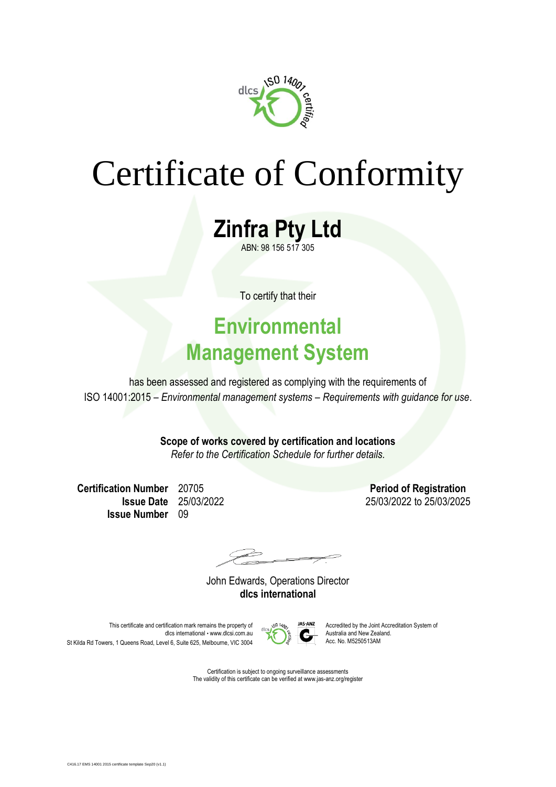

# Certificate of Conformity

**Zinfra Pty Ltd** ABN: 98 156 517 305

To certify that their

### **Environmental Management System**

has been assessed and registered as complying with the requirements of ISO 14001:2015 – *Environmental management systems – Requirements with guidance for use*.

> **Scope of works covered by certification and locations** *Refer to the Certification Schedule for further details.*

**Certification Number** 20705 **Period of Registration Issue Number** 09

**Issue Date** 25/03/2022 25/03/2022 to 25/03/2025

 $\overrightarrow{a}$ 

John Edwards, Operations Director **dlcs international**

This certificate and certification mark remains the property of  $\sim$   $\frac{9.54982}{4}$  Accredited by the Joint Accreditation System of dlcs international • www.dlcsi.com.au  $\sum_{n=1}^{\infty}$  Australia and New Zealand. St Kilda Rd Towers, 1 Queens Road, Level 6, Suite 625, Melbourne, VIC 3004



Certification is subject to ongoing surveillance assessments The validity of this certificate can be verified at www.jas-anz.org/register